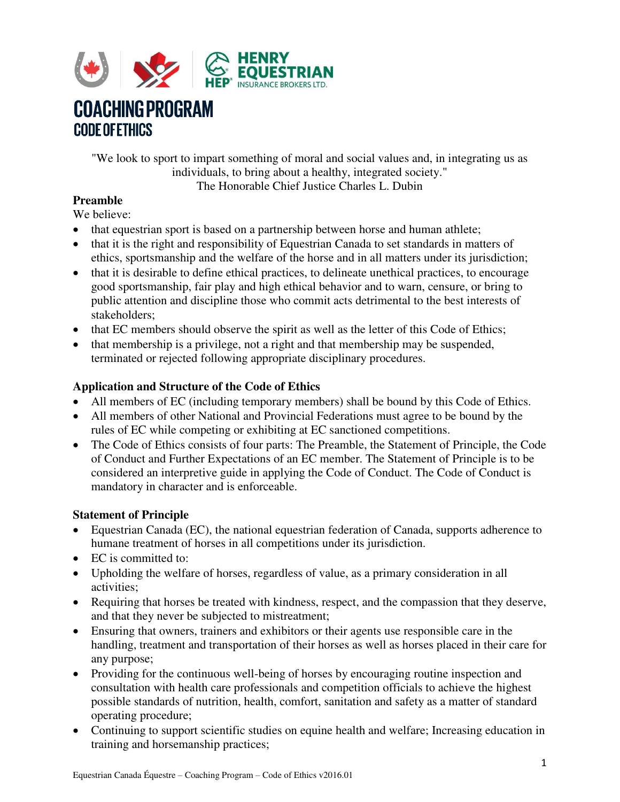

## **COACHING PROGRAM CODE OF ETHICS**

"We look to sport to impart something of moral and social values and, in integrating us as individuals, to bring about a healthy, integrated society." The Honorable Chief Justice Charles L. Dubin

#### **Preamble**

We believe:

- that equestrian sport is based on a partnership between horse and human athlete;
- that it is the right and responsibility of Equestrian Canada to set standards in matters of ethics, sportsmanship and the welfare of the horse and in all matters under its jurisdiction;
- that it is desirable to define ethical practices, to delineate unethical practices, to encourage good sportsmanship, fair play and high ethical behavior and to warn, censure, or bring to public attention and discipline those who commit acts detrimental to the best interests of stakeholders;
- that EC members should observe the spirit as well as the letter of this Code of Ethics;
- that membership is a privilege, not a right and that membership may be suspended, terminated or rejected following appropriate disciplinary procedures.

## **Application and Structure of the Code of Ethics**

- All members of EC (including temporary members) shall be bound by this Code of Ethics.
- All members of other National and Provincial Federations must agree to be bound by the rules of EC while competing or exhibiting at EC sanctioned competitions.
- The Code of Ethics consists of four parts: The Preamble, the Statement of Principle, the Code of Conduct and Further Expectations of an EC member. The Statement of Principle is to be considered an interpretive guide in applying the Code of Conduct. The Code of Conduct is mandatory in character and is enforceable.

#### **Statement of Principle**

- Equestrian Canada (EC), the national equestrian federation of Canada, supports adherence to humane treatment of horses in all competitions under its jurisdiction.
- EC is committed to:
- Upholding the welfare of horses, regardless of value, as a primary consideration in all activities;
- Requiring that horses be treated with kindness, respect, and the compassion that they deserve, and that they never be subjected to mistreatment;
- Ensuring that owners, trainers and exhibitors or their agents use responsible care in the handling, treatment and transportation of their horses as well as horses placed in their care for any purpose;
- Providing for the continuous well-being of horses by encouraging routine inspection and consultation with health care professionals and competition officials to achieve the highest possible standards of nutrition, health, comfort, sanitation and safety as a matter of standard operating procedure;
- Continuing to support scientific studies on equine health and welfare; Increasing education in training and horsemanship practices;